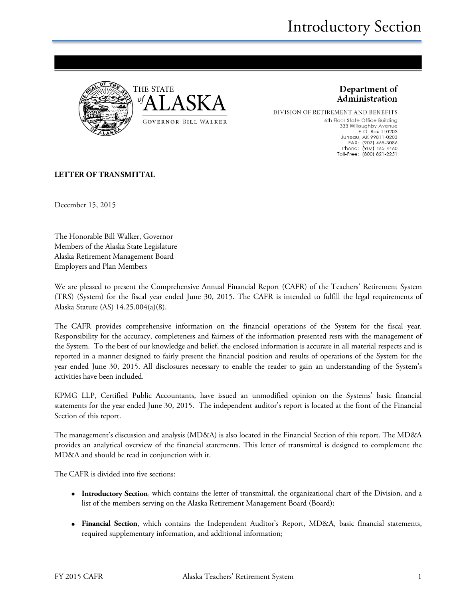

Department of Administration

DIVISION OF RETIREMENT AND BENEFITS 6th Floor State Office Building 333 Willoughby Avenue P.O. Box 110203 Juneau, AK 99811-0203<br>FAX: (907) 465-3086<br>Phone: (907) 465-4460 Toll-Free: (800) 821-2251

#### **LETTER OF TRANSMITTAL**

December 15, 2015

The Honorable Bill Walker, Governor Members of the Alaska State Legislature Alaska Retirement Management Board Employers and Plan Members

We are pleased to present the Comprehensive Annual Financial Report (CAFR) of the Teachers' Retirement System (TRS) (System) for the fiscal year ended June 30, 2015. The CAFR is intended to fulfill the legal requirements of Alaska Statute (AS) 14.25.004(a)(8).

The CAFR provides comprehensive information on the financial operations of the System for the fiscal year. Responsibility for the accuracy, completeness and fairness of the information presented rests with the management of the System. To the best of our knowledge and belief, the enclosed information is accurate in all material respects and is reported in a manner designed to fairly present the financial position and results of operations of the System for the year ended June 30, 2015. All disclosures necessary to enable the reader to gain an understanding of the System's activities have been included.

KPMG LLP, Certified Public Accountants, have issued an unmodified opinion on the Systems' basic financial statements for the year ended June 30, 2015. The independent auditor's report is located at the front of the Financial Section of this report.

The management's discussion and analysis (MD&A) is also located in the Financial Section of this report. The MD&A provides an analytical overview of the financial statements. This letter of transmittal is designed to complement the MD&A and should be read in conjunction with it.

The CAFR is divided into five sections:

- **Introductory Section**, which contains the letter of transmittal, the organizational chart of the Division, and a list of the members serving on the Alaska Retirement Management Board (Board);
- **Financial Section**, which contains the Independent Auditor's Report, MD&A, basic financial statements, required supplementary information, and additional information;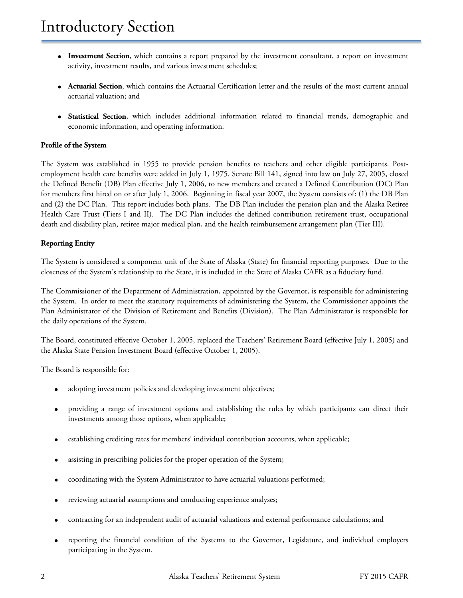- **Investment Section**, which contains a report prepared by the investment consultant, a report on investment activity, investment results, and various investment schedules;
- **Actuarial Section**, which contains the Actuarial Certification letter and the results of the most current annual actuarial valuation; and
- **Statistical Section**, which includes additional information related to financial trends, demographic and economic information, and operating information.

#### **Profile of the System**

The System was established in 1955 to provide pension benefits to teachers and other eligible participants. Postemployment health care benefits were added in July 1, 1975. Senate Bill 141, signed into law on July 27, 2005, closed the Defined Benefit (DB) Plan effective July 1, 2006, to new members and created a Defined Contribution (DC) Plan for members first hired on or after July 1, 2006. Beginning in fiscal year 2007, the System consists of: (1) the DB Plan and (2) the DC Plan. This report includes both plans. The DB Plan includes the pension plan and the Alaska Retiree Health Care Trust (Tiers I and II). The DC Plan includes the defined contribution retirement trust, occupational death and disability plan, retiree major medical plan, and the health reimbursement arrangement plan (Tier III).

#### **Reporting Entity**

The System is considered a component unit of the State of Alaska (State) for financial reporting purposes. Due to the closeness of the System's relationship to the State, it is included in the State of Alaska CAFR as a fiduciary fund.

The Commissioner of the Department of Administration, appointed by the Governor, is responsible for administering the System. In order to meet the statutory requirements of administering the System, the Commissioner appoints the Plan Administrator of the Division of Retirement and Benefits (Division). The Plan Administrator is responsible for the daily operations of the System.

The Board, constituted effective October 1, 2005, replaced the Teachers' Retirement Board (effective July 1, 2005) and the Alaska State Pension Investment Board (effective October 1, 2005).

The Board is responsible for:

- adopting investment policies and developing investment objectives;
- providing a range of investment options and establishing the rules by which participants can direct their investments among those options, when applicable;
- establishing crediting rates for members' individual contribution accounts, when applicable;
- assisting in prescribing policies for the proper operation of the System;
- coordinating with the System Administrator to have actuarial valuations performed;
- reviewing actuarial assumptions and conducting experience analyses;
- contracting for an independent audit of actuarial valuations and external performance calculations; and
- reporting the financial condition of the Systems to the Governor, Legislature, and individual employers participating in the System.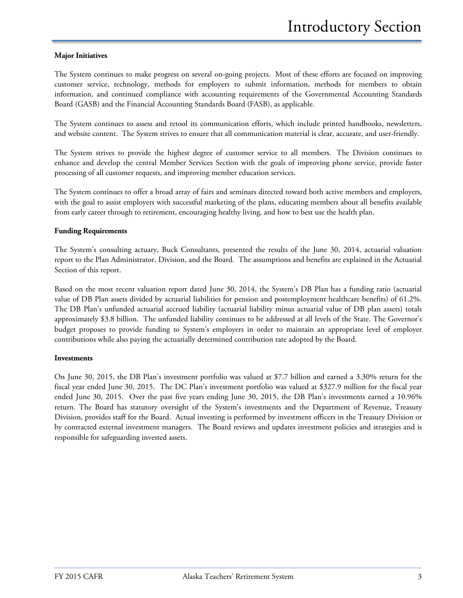#### **Major Initiatives**

The System continues to make progress on several on-going projects. Most of these efforts are focused on improving customer service, technology, methods for employers to submit information, methods for members to obtain information, and continued compliance with accounting requirements of the Governmental Accounting Standards Board (GASB) and the Financial Accounting Standards Board (FASB), as applicable.

The System continues to assess and retool its communication efforts, which include printed handbooks, newsletters, and website content. The System strives to ensure that all communication material is clear, accurate, and user-friendly.

The System strives to provide the highest degree of customer service to all members. The Division continues to enhance and develop the central Member Services Section with the goals of improving phone service, provide faster processing of all customer requests, and improving member education services.

The System continues to offer a broad array of fairs and seminars directed toward both active members and employers, with the goal to assist employers with successful marketing of the plans, educating members about all benefits available from early career through to retirement, encouraging healthy living, and how to best use the health plan.

#### **Funding Requirements**

The System's consulting actuary, Buck Consultants, presented the results of the June 30, 2014, actuarial valuation report to the Plan Administrator, Division, and the Board. The assumptions and benefits are explained in the Actuarial Section of this report.

Based on the most recent valuation report dated June 30, 2014, the System's DB Plan has a funding ratio (actuarial value of DB Plan assets divided by actuarial liabilities for pension and postemployment healthcare benefits) of 61.2%. The DB Plan's unfunded actuarial accrued liability (actuarial liability minus actuarial value of DB plan assets) totals approximately \$3.8 billion. The unfunded liability continues to be addressed at all levels of the State. The Governor's budget proposes to provide funding to System's employers in order to maintain an appropriate level of employer contributions while also paying the actuarially determined contribution rate adopted by the Board.

#### **Investments**

On June 30, 2015, the DB Plan's investment portfolio was valued at \$7.7 billion and earned a 3.30% return for the fiscal year ended June 30, 2015. The DC Plan's investment portfolio was valued at \$327.9 million for the fiscal year ended June 30, 2015. Over the past five years ending June 30, 2015, the DB Plan's investments earned a 10.96% return. The Board has statutory oversight of the System's investments and the Department of Revenue, Treasury Division, provides staff for the Board. Actual investing is performed by investment officers in the Treasury Division or by contracted external investment managers. The Board reviews and updates investment policies and strategies and is responsible for safeguarding invested assets.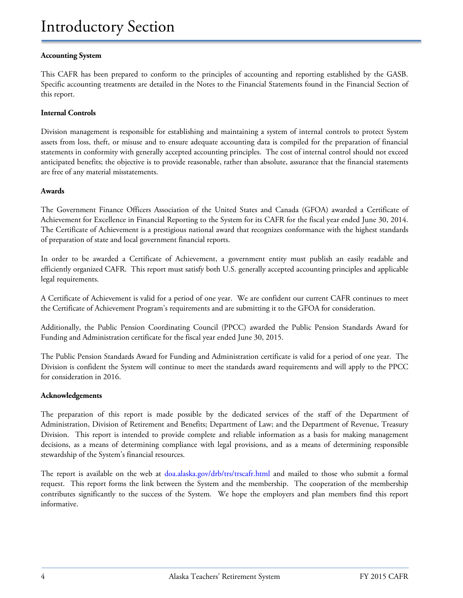#### **Accounting System**

This CAFR has been prepared to conform to the principles of accounting and reporting established by the GASB. Specific accounting treatments are detailed in the Notes to the Financial Statements found in the Financial Section of this report.

#### **Internal Controls**

Division management is responsible for establishing and maintaining a system of internal controls to protect System assets from loss, theft, or misuse and to ensure adequate accounting data is compiled for the preparation of financial statements in conformity with generally accepted accounting principles. The cost of internal control should not exceed anticipated benefits; the objective is to provide reasonable, rather than absolute, assurance that the financial statements are free of any material misstatements.

#### **Awards**

The Government Finance Officers Association of the United States and Canada (GFOA) awarded a Certificate of Achievement for Excellence in Financial Reporting to the System for its CAFR for the fiscal year ended June 30, 2014. The Certificate of Achievement is a prestigious national award that recognizes conformance with the highest standards of preparation of state and local government financial reports.

In order to be awarded a Certificate of Achievement, a government entity must publish an easily readable and efficiently organized CAFR. This report must satisfy both U.S. generally accepted accounting principles and applicable legal requirements.

A Certificate of Achievement is valid for a period of one year. We are confident our current CAFR continues to meet the Certificate of Achievement Program's requirements and are submitting it to the GFOA for consideration.

Additionally, the Public Pension Coordinating Council (PPCC) awarded the Public Pension Standards Award for Funding and Administration certificate for the fiscal year ended June 30, 2015.

The Public Pension Standards Award for Funding and Administration certificate is valid for a period of one year. The Division is confident the System will continue to meet the standards award requirements and will apply to the PPCC for consideration in 2016.

#### **Acknowledgements**

The preparation of this report is made possible by the dedicated services of the staff of the Department of Administration, Division of Retirement and Benefits; Department of Law; and the Department of Revenue, Treasury Division. This report is intended to provide complete and reliable information as a basis for making management decisions, as a means of determining compliance with legal provisions, and as a means of determining responsible stewardship of the System's financial resources.

The report is available on the web at doa.alaska.gov/drb/trs/trscafr.html and mailed to those who submit a formal request. This report forms the link between the System and the membership. The cooperation of the membership contributes significantly to the success of the System. We hope the employers and plan members find this report informative.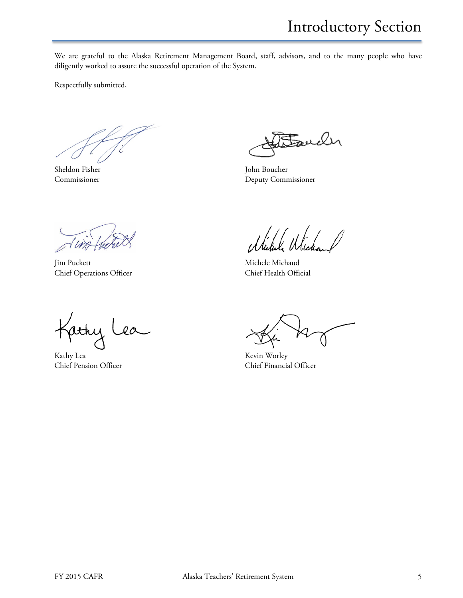Introductory Section

We are grateful to the Alaska Retirement Management Board, staff, advisors, and to the many people who have diligently worked to assure the successful operation of the System.

Respectfully submitted,

Fauch

Sheldon Fisher John Boucher Commissioner Deputy Commissioner

Jim Puckett Michaud Michele Michaud Chief Operations Officer Chief Health Official

 $\overline{\overline{}}$ jethy  $a$ 

Kathy Lea Kevin Worley

Chief Pension Officer Chief Financial Officer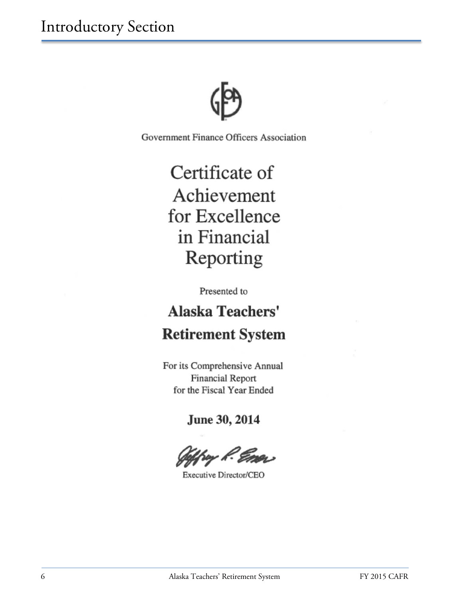Government Finance Officers Association

# Certificate of Achievement for Excellence in Financial Reporting

Presented to

# **Alaska Teachers' Retirement System**

For its Comprehensive Annual Financial Report for the Fiscal Year Ended

June 30, 2014

hay *R. Emo*r

Executive Director/CEO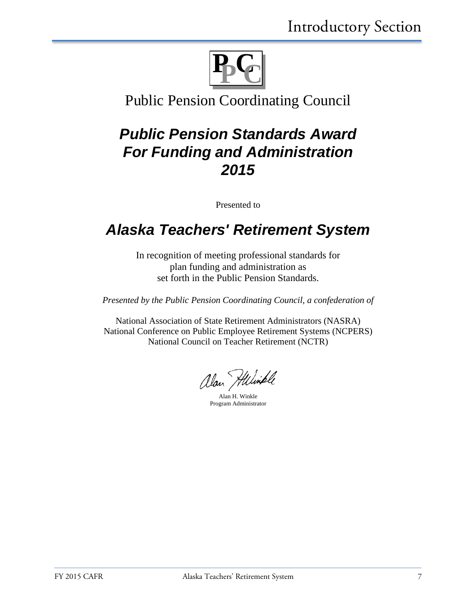

### Public Pension Coordinating Council

## *Public Pension Standards Award For Funding and Administration 2015*

Presented to

## *Alaska Teachers' Retirement System*

In recognition of meeting professional standards for plan funding and administration as set forth in the Public Pension Standards.

*Presented by the Public Pension Coordinating Council, a confederation of*

National Association of State Retirement Administrators (NASRA) National Conference on Public Employee Retirement Systems (NCPERS) National Council on Teacher Retirement (NCTR)

alan Hilimple

Alan H. Winkle Program Administrator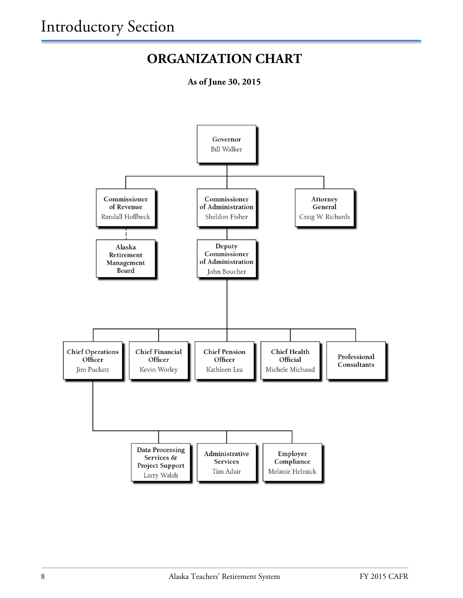### **ORGANIZATION CHART**

**As of June 30, 2015**

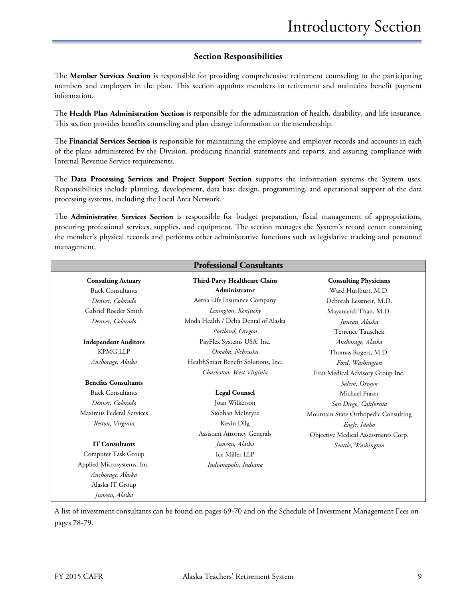#### **Section Responsibilities**

The **Member Services Section** is responsible for providing comprehensive retirement counseling to the participating members and employers in the plan. This section appoints members to retirement and maintains benefit payment information.

The **Health Plan Administration Section** is responsible for the administration of health, disability, and life insurance. This section provides benefits counseling and plan change information to the membership.

The **Financial Services Section** is responsible for maintaining the employee and employer records and accounts in each of the plans administered by the Division, producing financial statements and reports, and assuring compliance with Internal Revenue Service requirements.

The **Data Processing Services and Project Support Section** supports the information systems the System uses. Responsibilities include planning, development, data base design, programming, and operational support of the data processing systems, including the Local Area Network.

The **Administrative Services Section** is responsible for budget preparation, fiscal management of appropriations, procuring professional services, supplies, and equipment. The section manages the System's record center containing the member's physical records and performs other administrative functions such as legislative tracking and personnel management.

| <b>Professional Consultants</b> |                                      |                                      |
|---------------------------------|--------------------------------------|--------------------------------------|
| <b>Consulting Actuary</b>       | Third-Party Healthcare Claim         | <b>Consulting Physicians</b>         |
| <b>Buck Consultants</b>         | Administrator                        | Ward Hurlburt, M.D.                  |
| Denver, Colorado                | Aetna Life Insurance Company         | Deborah Lessmeir, M.D.               |
| Gabriel Roeder Smith            | Lexington, Kentucky                  | Mayanandi Than, M.D.                 |
| Denver, Colorado                | Moda Health / Delta Dental of Alaska | Juneau, Alaska                       |
|                                 | Portland, Oregon                     | Terrence Tauschek                    |
| <b>Independent Auditors</b>     | PayFlex Systems USA, Inc.            | Anchorage, Alaska                    |
| <b>KPMG LLP</b>                 | Omaha, Nebraska                      | Thomas Rogers, M.D.                  |
| Anchorage, Alaska               | HealthSmart Benefit Solutions, Inc.  | Ford, Washington                     |
|                                 | Charleston, West Virginia            | First Medical Advisory Group Inc.    |
| <b>Benefits Consultants</b>     |                                      | Salem, Oregon                        |
| <b>Buck Consultants</b>         | <b>Legal Counsel</b>                 | Michael Fraser                       |
| Denver, Colorado                | Joan Wilkerson                       | San Diego, California                |
| Maximus Federal Services        | Siobhan McIntyre                     | Mountain State Orthopedic Consulting |
| Reston, Virginia                | Kevin Dilg                           | Eagle, Idaho                         |
|                                 | <b>Assistant Attorney Generals</b>   | Objective Medical Assessments Corp.  |
| <b>IT Consultants</b>           | Juneau, Alaska                       | Seattle, Washington                  |
| Computer Task Group             | Ice Miller LLP                       |                                      |
| Applied Microsystems, Inc.      | Indianapolis, Indiana                |                                      |
| Anchorage, Alaska               |                                      |                                      |
| Alaska IT Group                 |                                      |                                      |
| Juneau, Alaska                  |                                      |                                      |

A list of investment consultants can be found on pages 69-70 and on the Schedule of Investment Management Fees on pages 78-79.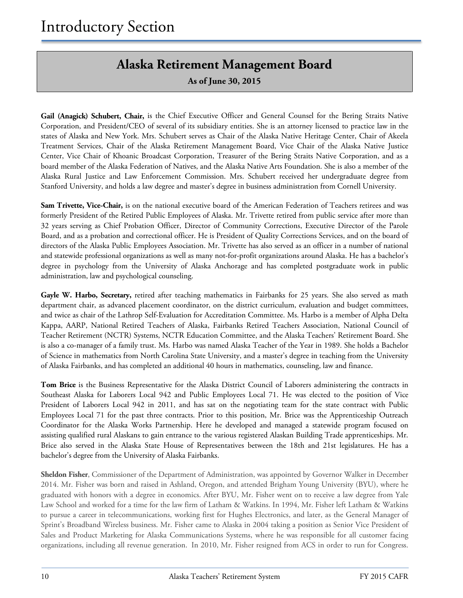### **Alaska Retirement Management Board**

**As of June 30, 2015**

**Gail (Anagick) Schubert, Chair,** is the Chief Executive Officer and General Counsel for the Bering Straits Native Corporation, and President/CEO of several of its subsidiary entities. She is an attorney licensed to practice law in the states of Alaska and New York. Mrs. Schubert serves as Chair of the Alaska Native Heritage Center, Chair of Akeela Treatment Services, Chair of the Alaska Retirement Management Board, Vice Chair of the Alaska Native Justice Center, Vice Chair of Khoanic Broadcast Corporation, Treasurer of the Bering Straits Native Corporation, and as a board member of the Alaska Federation of Natives, and the Alaska Native Arts Foundation. She is also a member of the Alaska Rural Justice and Law Enforcement Commission. Mrs. Schubert received her undergraduate degree from Stanford University, and holds a law degree and master's degree in business administration from Cornell University.

**Sam Trivette, Vice-Chair,** is on the national executive board of the American Federation of Teachers retirees and was formerly President of the Retired Public Employees of Alaska. Mr. Trivette retired from public service after more than 32 years serving as Chief Probation Officer, Director of Community Corrections, Executive Director of the Parole Board, and as a probation and correctional officer. He is President of Quality Corrections Services, and on the board of directors of the Alaska Public Employees Association. Mr. Trivette has also served as an officer in a number of national and statewide professional organizations as well as many not-for-profit organizations around Alaska. He has a bachelor's degree in psychology from the University of Alaska Anchorage and has completed postgraduate work in public administration, law and psychological counseling.

Gayle W. Harbo, Secretary, retired after teaching mathematics in Fairbanks for 25 years. She also served as math department chair, as advanced placement coordinator, on the district curriculum, evaluation and budget committees, and twice as chair of the Lathrop Self-Evaluation for Accreditation Committee. Ms. Harbo is a member of Alpha Delta Kappa, AARP, National Retired Teachers of Alaska, Fairbanks Retired Teachers Association, National Council of Teacher Retirement (NCTR) Systems, NCTR Education Committee, and the Alaska Teachers' Retirement Board. She is also a co-manager of a family trust. Ms. Harbo was named Alaska Teacher of the Year in 1989. She holds a Bachelor of Science in mathematics from North Carolina State University, and a master's degree in teaching from the University of Alaska Fairbanks, and has completed an additional 40 hours in mathematics, counseling, law and finance.

**Tom Brice** is the Business Representative for the Alaska District Council of Laborers administering the contracts in Southeast Alaska for Laborers Local 942 and Public Employees Local 71. He was elected to the position of Vice President of Laborers Local 942 in 2011, and has sat on the negotiating team for the state contract with Public Employees Local 71 for the past three contracts. Prior to this position, Mr. Brice was the Apprenticeship Outreach Coordinator for the Alaska Works Partnership. Here he developed and managed a statewide program focused on assisting qualified rural Alaskans to gain entrance to the various registered Alaskan Building Trade apprenticeships. Mr. Brice also served in the Alaska State House of Representatives between the 18th and 21st legislatures. He has a bachelor's degree from the University of Alaska Fairbanks.

**Sheldon Fisher**, Commissioner of the Department of Administration, was appointed by Governor Walker in December 2014. Mr. Fisher was born and raised in Ashland, Oregon, and attended Brigham Young University (BYU), where he graduated with honors with a degree in economics. After BYU, Mr. Fisher went on to receive a law degree from Yale Law School and worked for a time for the law firm of Latham & Watkins. In 1994, Mr. Fisher left Latham & Watkins to pursue a career in telecommunications, working first for Hughes Electronics, and later, as the General Manager of Sprint's Broadband Wireless business. Mr. Fisher came to Alaska in 2004 taking a position as Senior Vice President of Sales and Product Marketing for Alaska Communications Systems, where he was responsible for all customer facing organizations, including all revenue generation. In 2010, Mr. Fisher resigned from ACS in order to run for Congress.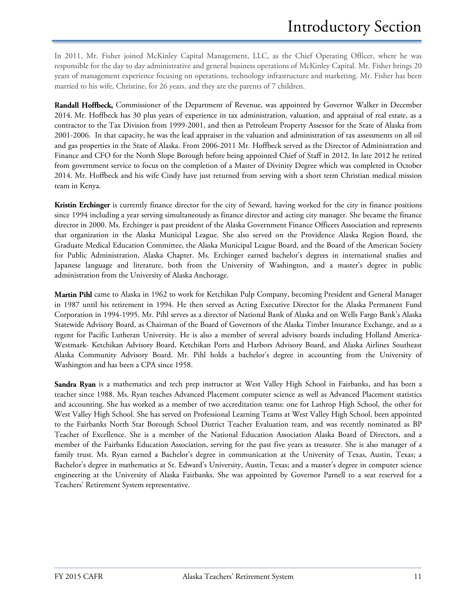In 2011, Mr. Fisher joined McKinley Capital Management, LLC, as the Chief Operating Officer, where he was responsible for the day to day administrative and general business operations of McKinley Capital. Mr. Fisher brings 20 years of management experience focusing on operations, technology infrastructure and marketing. Mr. Fisher has been married to his wife, Christine, for 26 years, and they are the parents of 7 children.

**Randall Hoffbeck,** Commissioner of the Department of Revenue, was appointed by Governor Walker in December 2014. Mr. Hoffbeck has 30 plus years of experience in tax administration, valuation, and appraisal of real estate, as a contractor to the Tax Division from 1999-2001, and then as Petroleum Property Assessor for the State of Alaska from 2001-2006. In that capacity, he was the lead appraiser in the valuation and administration of tax assessments on all oil and gas properties in the State of Alaska. From 2006-2011 Mr. Hoffbeck served as the Director of Administration and Finance and CFO for the North Slope Borough before being appointed Chief of Staff in 2012. In late 2012 he retired from government service to focus on the completion of a Master of Divinity Degree which was completed in October 2014. Mr. Hoffbeck and his wife Cindy have just returned from serving with a short term Christian medical mission team in Kenya.

**Kristin Erchinger** is currently finance director for the city of Seward, having worked for the city in finance positions since 1994 including a year serving simultaneously as finance director and acting city manager. She became the finance director in 2000. Ms. Erchinger is past president of the Alaska Government Finance Officers Association and represents that organization in the Alaska Municipal League. She also served on the Providence Alaska Region Board, the Graduate Medical Education Committee, the Alaska Municipal League Board, and the Board of the American Society for Public Administration, Alaska Chapter. Ms. Erchinger earned bachelor's degrees in international studies and Japanese language and literature, both from the University of Washington, and a master's degree in public administration from the University of Alaska Anchorage.

**Martin Pihl** came to Alaska in 1962 to work for Ketchikan Pulp Company, becoming President and General Manager in 1987 until his retirement in 1994. He then served as Acting Executive Director for the Alaska Permanent Fund Corporation in 1994-1995. Mr. Pihl serves as a director of National Bank of Alaska and on Wells Fargo Bank's Alaska Statewide Advisory Board, as Chairman of the Board of Governors of the Alaska Timber Insurance Exchange, and as a regent for Pacific Lutheran University. He is also a member of several advisory boards including Holland America-Westmark- Ketchikan Advisory Board, Ketchikan Ports and Harbors Advisory Board, and Alaska Airlines Southeast Alaska Community Advisory Board. Mr. Pihl holds a bachelor's degree in accounting from the University of Washington and has been a CPA since 1958.

**Sandra Ryan** is a mathematics and tech prep instructor at West Valley High School in Fairbanks, and has been a teacher since 1988. Ms. Ryan teaches Advanced Placement computer science as well as Advanced Placement statistics and accounting. She has worked as a member of two accreditation teams: one for Lathrop High School, the other for West Valley High School. She has served on Professional Learning Teams at West Valley High School, been appointed to the Fairbanks North Star Borough School District Teacher Evaluation team, and was recently nominated as BP Teacher of Excellence. She is a member of the National Education Association Alaska Board of Directors, and a member of the Fairbanks Education Association, serving for the past five years as treasurer. She is also manager of a family trust. Ms. Ryan earned a Bachelor's degree in communication at the University of Texas, Austin, Texas; a Bachelor's degree in mathematics at St. Edward's University, Austin, Texas; and a master's degree in computer science engineering at the University of Alaska Fairbanks. She was appointed by Governor Parnell to a seat reserved for a Teachers' Retirement System representative.